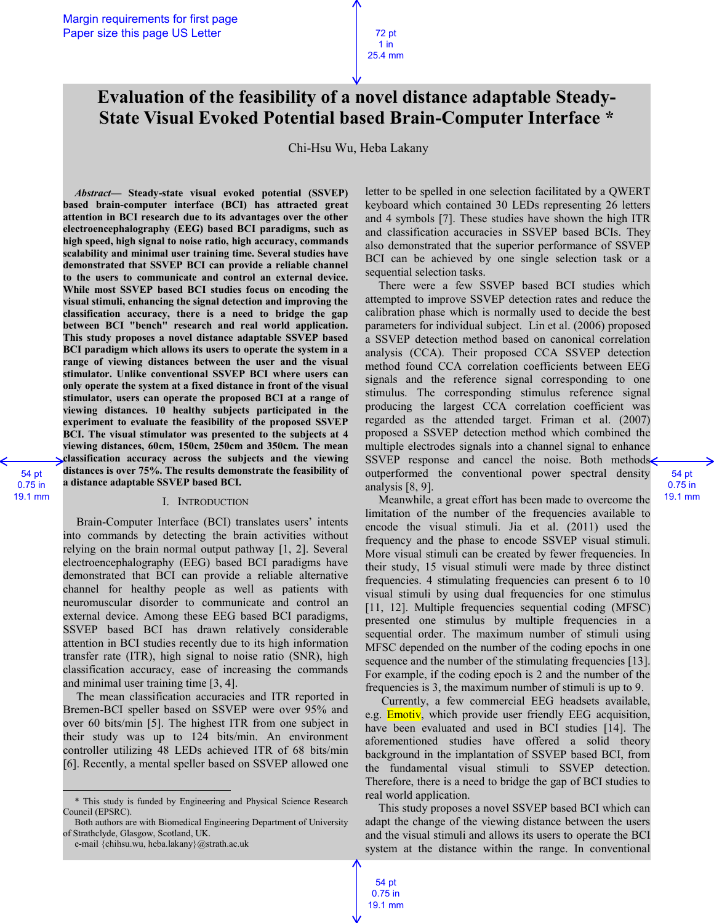# **Evaluation of the feasibility of a novel distance adaptable Steady-State Visual Evoked Potential based Brain-Computer Interface \***

Chi-Hsu Wu, Heba Lakany

*Abstract***— Steady-state visual evoked potential (SSVEP) based brain-computer interface (BCI) has attracted great attention in BCI research due to its advantages over the other electroencephalography (EEG) based BCI paradigms, such as high speed, high signal to noise ratio, high accuracy, commands scalability and minimal user training time. Several studies have demonstrated that SSVEP BCI can provide a reliable channel to the users to communicate and control an external device. While most SSVEP based BCI studies focus on encoding the visual stimuli, enhancing the signal detection and improving the classification accuracy, there is a need to bridge the gap between BCI "bench" research and real world application. This study proposes a novel distance adaptable SSVEP based BCI paradigm which allows its users to operate the system in a range of viewing distances between the user and the visual stimulator. Unlike conventional SSVEP BCI where users can only operate the system at a fixed distance in front of the visual stimulator, users can operate the proposed BCI at a range of viewing distances. 10 healthy subjects participated in the experiment to evaluate the feasibility of the proposed SSVEP BCI. The visual stimulator was presented to the subjects at 4 viewing distances, 60cm, 150cm, 250cm and 350cm. The mean classification accuracy across the subjects and the viewing distances is over 75%. The results demonstrate the feasibility of a distance adaptable SSVEP based BCI.**

 $\overline{a}$ 

#### I. INTRODUCTION

Brain-Computer Interface (BCI) translates users' intents into commands by detecting the brain activities without relying on the brain normal output pathway [1, 2]. Several electroencephalography (EEG) based BCI paradigms have demonstrated that BCI can provide a reliable alternative channel for healthy people as well as patients with neuromuscular disorder to communicate and control an external device. Among these EEG based BCI paradigms, SSVEP based BCI has drawn relatively considerable attention in BCI studies recently due to its high information transfer rate (ITR), high signal to noise ratio (SNR), high classification accuracy, ease of increasing the commands and minimal user training time [3, 4].

The mean classification accuracies and ITR reported in Bremen-BCI speller based on SSVEP were over 95% and over 60 bits/min [5]. The highest ITR from one subject in their study was up to 124 bits/min. An environment controller utilizing 48 LEDs achieved ITR of 68 bits/min [6]. Recently, a mental speller based on SSVEP allowed one letter to be spelled in one selection facilitated by a QWERT keyboard which contained 30 LEDs representing 26 letters and 4 symbols [7]. These studies have shown the high ITR and classification accuracies in SSVEP based BCIs. They also demonstrated that the superior performance of SSVEP BCI can be achieved by one single selection task or a sequential selection tasks.

There were a few SSVEP based BCI studies which attempted to improve SSVEP detection rates and reduce the calibration phase which is normally used to decide the best parameters for individual subject. Lin et al. (2006) proposed a SSVEP detection method based on canonical correlation analysis (CCA). Their proposed CCA SSVEP detection method found CCA correlation coefficients between EEG signals and the reference signal corresponding to one stimulus. The corresponding stimulus reference signal producing the largest CCA correlation coefficient was regarded as the attended target. Friman et al. (2007) proposed a SSVEP detection method which combined the multiple electrodes signals into a channel signal to enhance SSVEP response and cancel the noise. Both methods outperformed the conventional power spectral density analysis [8, 9].

Meanwhile, a great effort has been made to overcome the limitation of the number of the frequencies available to encode the visual stimuli. Jia et al. (2011) used the frequency and the phase to encode SSVEP visual stimuli. More visual stimuli can be created by fewer frequencies. In their study, 15 visual stimuli were made by three distinct frequencies. 4 stimulating frequencies can present 6 to 10 visual stimuli by using dual frequencies for one stimulus [11, 12]. Multiple frequencies sequential coding (MFSC) presented one stimulus by multiple frequencies in a sequential order. The maximum number of stimuli using MFSC depended on the number of the coding epochs in one sequence and the number of the stimulating frequencies [13]. For example, if the coding epoch is 2 and the number of the frequencies is 3, the maximum number of stimuli is up to 9.

Currently, a few commercial EEG headsets available, e.g. **Emotiv**, which provide user friendly EEG acquisition, have been evaluated and used in BCI studies [14]. The aforementioned studies have offered a solid theory background in the implantation of SSVEP based BCI, from the fundamental visual stimuli to SSVEP detection. Therefore, there is a need to bridge the gap of BCI studies to real world application.

This study proposes a novel SSVEP based BCI which can adapt the change of the viewing distance between the users and the visual stimuli and allows its users to operate the BCI system at the distance within the range. In conventional

<sup>\*</sup> This study is funded by Engineering and Physical Science Research Council (EPSRC).

Both authors are with Biomedical Engineering Department of University of Strathclyde, Glasgow, Scotland, UK.

e-mail {chihsu.wu, heba.lakany}@strath.ac.uk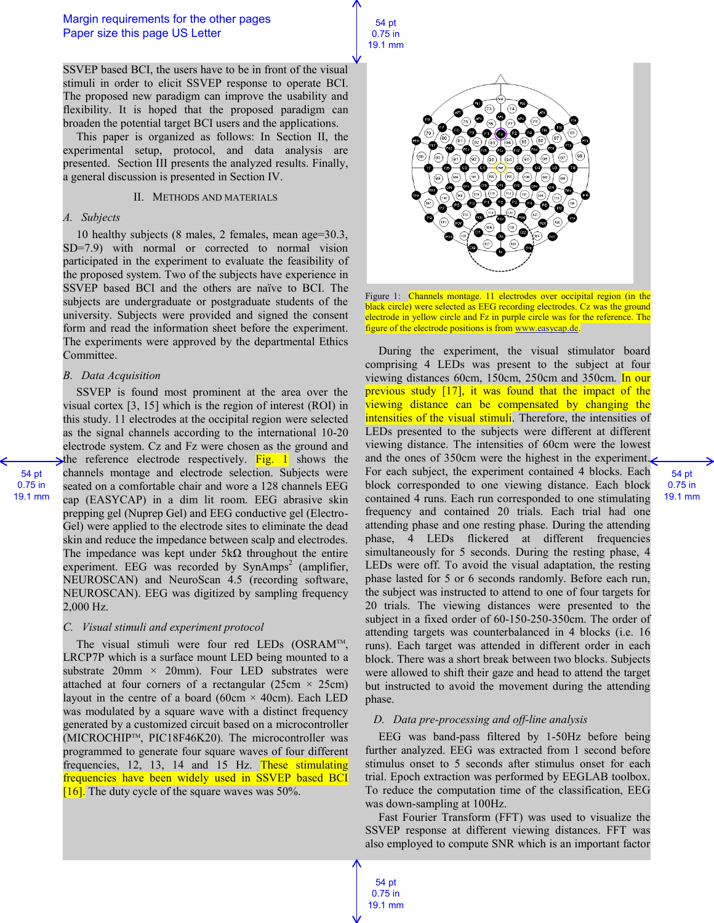SSVEP based BCI, the users have to be in front of the visual stimuli in order to elicit SSVEP response to operate BCI. The proposed new paradigm can improve the usability and flexibility. It is hoped that the proposed paradigm can broaden the potential target BCI users and the applications.

This paper is organized as follows: In Section II, the experimental setup, protocol, and data analysis are presented. Section III presents the analyzed results. Finally, a general discussion is presented in Section IV.

#### II. METHODS AND MATERIALS

#### *A. Subjects*

10 healthy subjects (8 males, 2 females, mean age=30.3, SD=7.9) with normal or corrected to normal vision participated in the experiment to evaluate the feasibility of the proposed system. Two of the subjects have experience in SSVEP based BCI and the others are naïve to BCI. The subjects are undergraduate or postgraduate students of the university. Subjects were provided and signed the consent form and read the information sheet before the experiment. The experiments were approved by the departmental Ethics Committee.

#### *B. Data Acquisition*

SSVEP is found most prominent at the area over the visual cortex [3, 15] which is the region of interest (ROI) in this study. 11 electrodes at the occipital region were selected as the signal channels according to the international 10-20 electrode system. Cz and Fz were chosen as the ground and the reference electrode respectively. Fig. 1 shows the channels montage and electrode selection. Subjects were seated on a comfortable chair and wore a 128 channels EEG cap (EASYCAP) in a dim lit room. EEG abrasive skin prepping gel (Nuprep Gel) and EEG conductive gel (Electro-Gel) were applied to the electrode sites to eliminate the dead skin and reduce the impedance between scalp and electrodes. The impedance was kept under  $5k\Omega$  throughout the entire experiment. EEG was recorded by  $SynAmps<sup>2</sup>$  (amplifier, NEUROSCAN) and NeuroScan 4.5 (recording software, NEUROSCAN). EEG was digitized by sampling frequency 2,000 Hz.

### *C. Visual stimuli and experiment protocol*

The visual stimuli were four red LEDs (OSRAM<sup>™</sup>, LRCP7P which is a surface mount LED being mounted to a substrate  $20$ mm  $\times$   $20$ mm). Four LED substrates were attached at four corners of a rectangular (25cm  $\times$  25cm) layout in the centre of a board (60cm  $\times$  40cm). Each LED was modulated by a square wave with a distinct frequency generated by a customized circuit based on a microcontroller (MICROCHIPTM, PIC18F46K20). The microcontroller was programmed to generate four square waves of four different frequencies, 12, 13, 14 and 15 Hz. These stimulating frequencies have been widely used in SSVEP based BCI  $[16]$ . The duty cycle of the square waves was 50%.



Figure 1: Channels montage. 11 electrodes over occipital region (in the black circle) were selected as EEG recording electrodes. Cz was the ground electrode in yellow circle and Fz in purple circle was for the reference. The figure of the electrode positions is from www.easycap.de.

During the experiment, the visual stimulator board comprising 4 LEDs was present to the subject at four viewing distances 60cm, 150cm, 250cm and 350cm. In our previous study [17], it was found that the impact of the viewing distance can be compensated by changing the intensities of the visual stimuli. Therefore, the intensities of LEDs presented to the subjects were different at different viewing distance. The intensities of 60cm were the lowest and the ones of 350cm were the highest in the experiment. For each subject, the experiment contained 4 blocks. Each block corresponded to one viewing distance. Each block contained 4 runs. Each run corresponded to one stimulating frequency and contained 20 trials. Each trial had one attending phase and one resting phase. During the attending phase, 4 LEDs flickered at different frequencies simultaneously for 5 seconds. During the resting phase, 4 LEDs were off. To avoid the visual adaptation, the resting phase lasted for 5 or 6 seconds randomly. Before each run, the subject was instructed to attend to one of four targets for 20 trials. The viewing distances were presented to the subject in a fixed order of 60-150-250-350cm. The order of attending targets was counterbalanced in 4 blocks (i.e. 16 runs). Each target was attended in different order in each block. There was a short break between two blocks. Subjects were allowed to shift their gaze and head to attend the target but instructed to avoid the movement during the attending phase.

54 pt 0.75 in 19.1 mm

#### *D. Data pre-processing and off-line analysis*

EEG was band-pass filtered by 1-50Hz before being further analyzed. EEG was extracted from 1 second before stimulus onset to 5 seconds after stimulus onset for each trial. Epoch extraction was performed by EEGLAB toolbox. To reduce the computation time of the classification, EEG was down-sampling at 100Hz.

Fast Fourier Transform (FFT) was used to visualize the SSVEP response at different viewing distances. FFT was also employed to compute SNR which is an important factor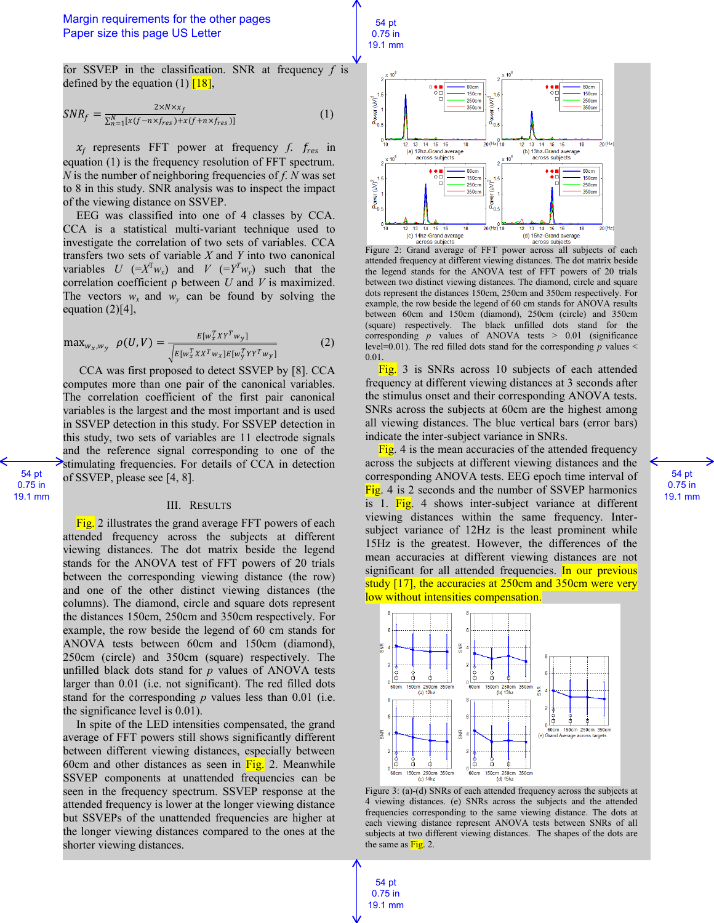

for SSVEP in the classification. SNR at frequency *f* is defined by the equation (1)  $\boxed{18}$ ,

$$
SNR_f = \frac{2 \times N \times x_f}{\sum_{n=1}^{N} [x(f - n \times f_{res}) + x(f + n \times f_{res})]}
$$
(1)

 $x_f$  represents FFT power at frequency  $f$ .  $f_{res}$  in equation (1) is the frequency resolution of FFT spectrum. *N* is the number of neighboring frequencies of *f*. *N* was set to 8 in this study. SNR analysis was to inspect the impact of the viewing distance on SSVEP.

EEG was classified into one of 4 classes by CCA. CCA is a statistical multi-variant technique used to investigate the correlation of two sets of variables. CCA transfers two sets of variable *X* and *Y* into two canonical variables *U* (= $X^T w_x$ ) and *V* (= $Y^T w_y$ ) such that the correlation coefficient ρ between *U* and *V* is maximized. The vectors  $w_x$  and  $w_y$  can be found by solving the equation (2)[4],

$$
\max_{w_x, w_y} \ \rho(U, V) = \frac{E[w_x^T X Y^T w_y]}{\sqrt{E[w_x^T X X^T w_x] E[w_y^T Y Y^T w_y]}}
$$
(2)

CCA was first proposed to detect SSVEP by [8]. CCA computes more than one pair of the canonical variables. The correlation coefficient of the first pair canonical variables is the largest and the most important and is used in SSVEP detection in this study. For SSVEP detection in this study, two sets of variables are 11 electrode signals and the reference signal corresponding to one of the stimulating frequencies. For details of CCA in detection of SSVEP, please see [4, 8].

54 pt 0.75 in 19.1 mm

#### III. RESULTS

Fig. 2 illustrates the grand average FFT powers of each attended frequency across the subjects at different viewing distances. The dot matrix beside the legend stands for the ANOVA test of FFT powers of 20 trials between the corresponding viewing distance (the row) and one of the other distinct viewing distances (the columns). The diamond, circle and square dots represent the distances 150cm, 250cm and 350cm respectively. For example, the row beside the legend of 60 cm stands for ANOVA tests between 60cm and 150cm (diamond), 250cm (circle) and 350cm (square) respectively. The unfilled black dots stand for *p* values of ANOVA tests larger than 0.01 (i.e. not significant). The red filled dots stand for the corresponding *p* values less than 0.01 (i.e. the significance level is 0.01).

In spite of the LED intensities compensated, the grand average of FFT powers still shows significantly different between different viewing distances, especially between 60cm and other distances as seen in  $\overline{Fig.}$  2. Meanwhile SSVEP components at unattended frequencies can be seen in the frequency spectrum. SSVEP response at the attended frequency is lower at the longer viewing distance but SSVEPs of the unattended frequencies are higher at the longer viewing distances compared to the ones at the shorter viewing distances.



attended frequency at different viewing distances. The dot matrix beside the legend stands for the ANOVA test of FFT powers of 20 trials between two distinct viewing distances. The diamond, circle and square dots represent the distances 150cm, 250cm and 350cm respectively. For example, the row beside the legend of 60 cm stands for ANOVA results between 60cm and 150cm (diamond), 250cm (circle) and 350cm (square) respectively. The black unfilled dots stand for the corresponding *p* values of ANOVA tests > 0.01 (significance level=0.01). The red filled dots stand for the corresponding *p* values < 0.01.

Fig. 3 is SNRs across 10 subjects of each attended frequency at different viewing distances at 3 seconds after the stimulus onset and their corresponding ANOVA tests. SNRs across the subjects at 60cm are the highest among all viewing distances. The blue vertical bars (error bars) indicate the inter-subject variance in SNRs.

Fig. 4 is the mean accuracies of the attended frequency across the subjects at different viewing distances and the corresponding ANOVA tests. EEG epoch time interval of Fig. 4 is 2 seconds and the number of SSVEP harmonics is 1. Fig. 4 shows inter-subject variance at different viewing distances within the same frequency. Intersubject variance of 12Hz is the least prominent while 15Hz is the greatest. However, the differences of the mean accuracies at different viewing distances are not significant for all attended frequencies. In our previous study [17], the accuracies at 250cm and 350cm were very low without intensities compensation.



Figure 3: (a)-(d) SNRs of each attended frequency across the subjects at 4 viewing distances. (e) SNRs across the subjects and the attended frequencies corresponding to the same viewing distance. The dots at each viewing distance represent ANOVA tests between SNRs of all subjects at two different viewing distances. The shapes of the dots are the same as  $Fig. 2$ .

54 pt 0.75 in 19.1 mm